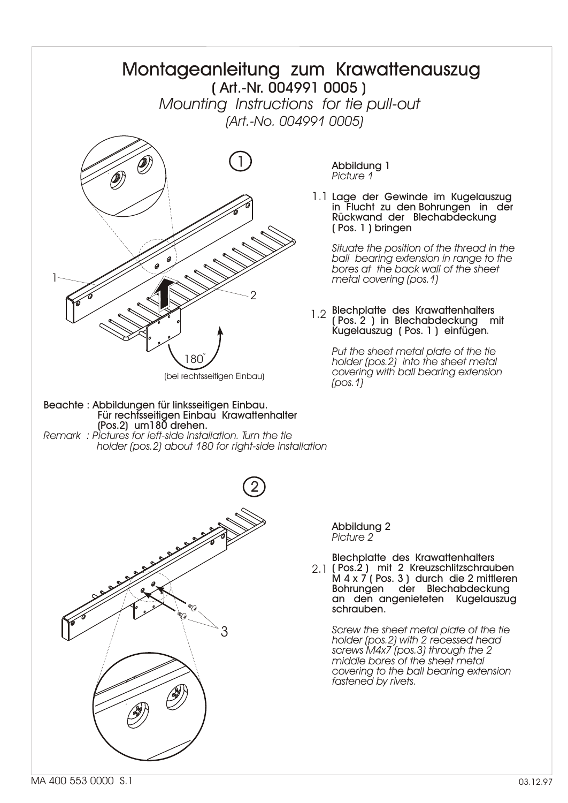## **Montageanleitung zum Krawattenauszug ( Art.-Nr. 004991 0005 )**

*Mounting Instructions for tie pull-out (Art.-No. 004991 0005)*



**Abbildung 1** *Picture 1*

**Lage der Gewinde im Kugelauszug**  1.1 **in Flucht zu den Bohrungen in der Rückwand der Blechabdeckung ( Pos. 1 ) bringen**

*Situate the position of the thread in the ball bearing extension in range to the bores at the back wall of the sheet metal covering (pos.1)*

## **Blechplatte des Krawattenhalters**  1.2 Blechplatte des Krawattenhatters<br> **(Pos. 2)** in Blechabdeckung mit **Kugelauszug ( Pos. 1 ) einfügen**.

*Put the sheet metal plate of the tie holder (pos.2) into the sheet metal covering with ball bearing extension (pos.1)*

**Abbildung 2** *Picture 2*

**Blechplatte des Krawattenhalters ( Pos.2 ) mit 2 Kreuzschlitzschrauben**  2.1 **M 4 x 7 ( Pos. 3 ) durch die 2 mittleren**  der Blechabdeckung **an den angenieteten Kugelauszug schrauben.**

*Screw the sheet metal plate of the tie holder (pos.2) with 2 recessed head screws M4x7 (pos.3) through the 2 middle bores of the sheet metal covering to the ball bearing extension fastened by rivets.*